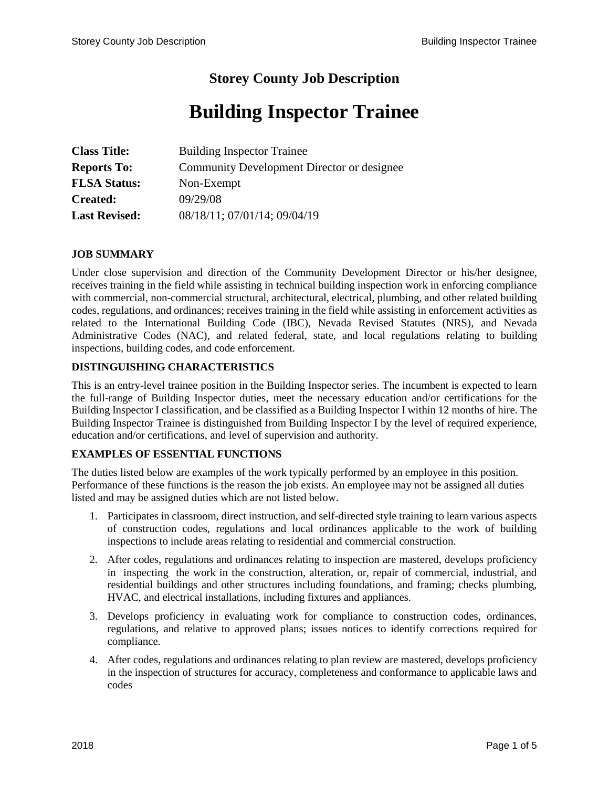# **Storey County Job Description**

# **Building Inspector Trainee**

| <b>Class Title:</b>  | <b>Building Inspector Trainee</b>          |
|----------------------|--------------------------------------------|
| <b>Reports To:</b>   | Community Development Director or designee |
| <b>FLSA Status:</b>  | Non-Exempt                                 |
| <b>Created:</b>      | 09/29/08                                   |
| <b>Last Revised:</b> | 08/18/11; 07/01/14; 09/04/19               |

#### **JOB SUMMARY**

Under close supervision and direction of the Community Development Director or his/her designee, receives training in the field while assisting in technical building inspection work in enforcing compliance with commercial, non-commercial structural, architectural, electrical, plumbing, and other related building codes, regulations, and ordinances; receives training in the field while assisting in enforcement activities as related to the International Building Code (IBC), Nevada Revised Statutes (NRS), and Nevada Administrative Codes (NAC), and related federal, state, and local regulations relating to building inspections, building codes, and code enforcement.

#### **DISTINGUISHING CHARACTERISTICS**

This is an entry-level trainee position in the Building Inspector series. The incumbent is expected to learn the full-range of Building Inspector duties, meet the necessary education and/or certifications for the Building Inspector I classification, and be classified as a Building Inspector I within 12 months of hire. The Building Inspector Trainee is distinguished from Building Inspector I by the level of required experience, education and/or certifications, and level of supervision and authority.

## **EXAMPLES OF ESSENTIAL FUNCTIONS**

The duties listed below are examples of the work typically performed by an employee in this position. Performance of these functions is the reason the job exists. An employee may not be assigned all duties listed and may be assigned duties which are not listed below.

- 1. Participates in classroom, direct instruction, and self-directed style training to learn various aspects of construction codes, regulations and local ordinances applicable to the work of building inspections to include areas relating to residential and commercial construction.
- 2. After codes, regulations and ordinances relating to inspection are mastered, develops proficiency in inspecting the work in the construction, alteration, or, repair of commercial, industrial, and residential buildings and other structures including foundations, and framing; checks plumbing, HVAC, and electrical installations, including fixtures and appliances.
- 3. Develops proficiency in evaluating work for compliance to construction codes, ordinances, regulations, and relative to approved plans; issues notices to identify corrections required for compliance.
- 4. After codes, regulations and ordinances relating to plan review are mastered, develops proficiency in the inspection of structures for accuracy, completeness and conformance to applicable laws and codes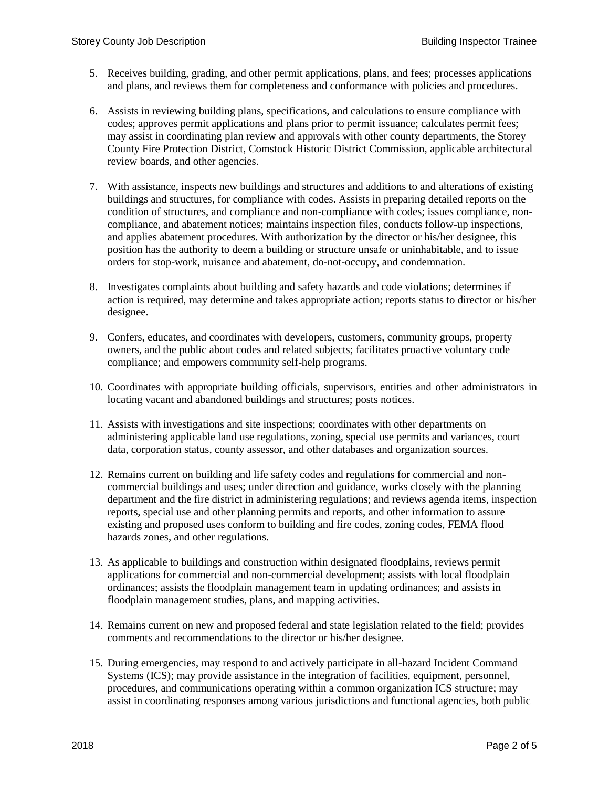- 5. Receives building, grading, and other permit applications, plans, and fees; processes applications and plans, and reviews them for completeness and conformance with policies and procedures.
- 6. Assists in reviewing building plans, specifications, and calculations to ensure compliance with codes; approves permit applications and plans prior to permit issuance; calculates permit fees; may assist in coordinating plan review and approvals with other county departments, the Storey County Fire Protection District, Comstock Historic District Commission, applicable architectural review boards, and other agencies.
- 7. With assistance, inspects new buildings and structures and additions to and alterations of existing buildings and structures, for compliance with codes. Assists in preparing detailed reports on the condition of structures, and compliance and non-compliance with codes; issues compliance, noncompliance, and abatement notices; maintains inspection files, conducts follow-up inspections, and applies abatement procedures. With authorization by the director or his/her designee, this position has the authority to deem a building or structure unsafe or uninhabitable, and to issue orders for stop-work, nuisance and abatement, do-not-occupy, and condemnation.
- 8. Investigates complaints about building and safety hazards and code violations; determines if action is required, may determine and takes appropriate action; reports status to director or his/her designee.
- 9. Confers, educates, and coordinates with developers, customers, community groups, property owners, and the public about codes and related subjects; facilitates proactive voluntary code compliance; and empowers community self-help programs.
- 10. Coordinates with appropriate building officials, supervisors, entities and other administrators in locating vacant and abandoned buildings and structures; posts notices.
- 11. Assists with investigations and site inspections; coordinates with other departments on administering applicable land use regulations, zoning, special use permits and variances, court data, corporation status, county assessor, and other databases and organization sources.
- 12. Remains current on building and life safety codes and regulations for commercial and noncommercial buildings and uses; under direction and guidance, works closely with the planning department and the fire district in administering regulations; and reviews agenda items, inspection reports, special use and other planning permits and reports, and other information to assure existing and proposed uses conform to building and fire codes, zoning codes, FEMA flood hazards zones, and other regulations.
- 13. As applicable to buildings and construction within designated floodplains, reviews permit applications for commercial and non-commercial development; assists with local floodplain ordinances; assists the floodplain management team in updating ordinances; and assists in floodplain management studies, plans, and mapping activities.
- 14. Remains current on new and proposed federal and state legislation related to the field; provides comments and recommendations to the director or his/her designee.
- 15. During emergencies, may respond to and actively participate in all-hazard Incident Command Systems (ICS); may provide assistance in the integration of facilities, equipment, personnel, procedures, and communications operating within a common organization ICS structure; may assist in coordinating responses among various jurisdictions and functional agencies, both public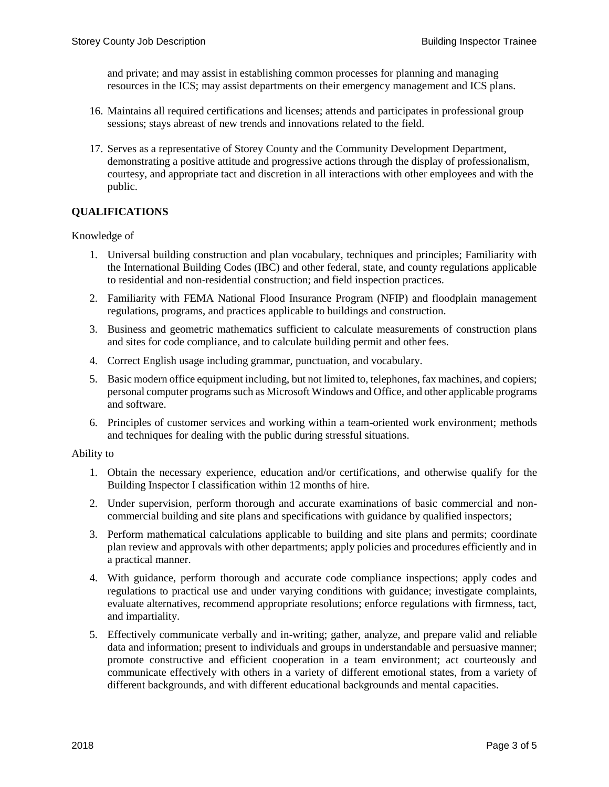and private; and may assist in establishing common processes for planning and managing resources in the ICS; may assist departments on their emergency management and ICS plans.

- 16. Maintains all required certifications and licenses; attends and participates in professional group sessions; stays abreast of new trends and innovations related to the field.
- 17. Serves as a representative of Storey County and the Community Development Department, demonstrating a positive attitude and progressive actions through the display of professionalism, courtesy, and appropriate tact and discretion in all interactions with other employees and with the public.

#### **QUALIFICATIONS**

#### Knowledge of

- 1. Universal building construction and plan vocabulary, techniques and principles; Familiarity with the International Building Codes (IBC) and other federal, state, and county regulations applicable to residential and non-residential construction; and field inspection practices.
- 2. Familiarity with FEMA National Flood Insurance Program (NFIP) and floodplain management regulations, programs, and practices applicable to buildings and construction.
- 3. Business and geometric mathematics sufficient to calculate measurements of construction plans and sites for code compliance, and to calculate building permit and other fees.
- 4. Correct English usage including grammar, punctuation, and vocabulary.
- 5. Basic modern office equipment including, but not limited to, telephones, fax machines, and copiers; personal computer programs such as Microsoft Windows and Office, and other applicable programs and software.
- 6. Principles of customer services and working within a team-oriented work environment; methods and techniques for dealing with the public during stressful situations.

#### Ability to

- 1. Obtain the necessary experience, education and/or certifications, and otherwise qualify for the Building Inspector I classification within 12 months of hire.
- 2. Under supervision, perform thorough and accurate examinations of basic commercial and noncommercial building and site plans and specifications with guidance by qualified inspectors;
- 3. Perform mathematical calculations applicable to building and site plans and permits; coordinate plan review and approvals with other departments; apply policies and procedures efficiently and in a practical manner.
- 4. With guidance, perform thorough and accurate code compliance inspections; apply codes and regulations to practical use and under varying conditions with guidance; investigate complaints, evaluate alternatives, recommend appropriate resolutions; enforce regulations with firmness, tact, and impartiality.
- 5. Effectively communicate verbally and in-writing; gather, analyze, and prepare valid and reliable data and information; present to individuals and groups in understandable and persuasive manner; promote constructive and efficient cooperation in a team environment; act courteously and communicate effectively with others in a variety of different emotional states, from a variety of different backgrounds, and with different educational backgrounds and mental capacities.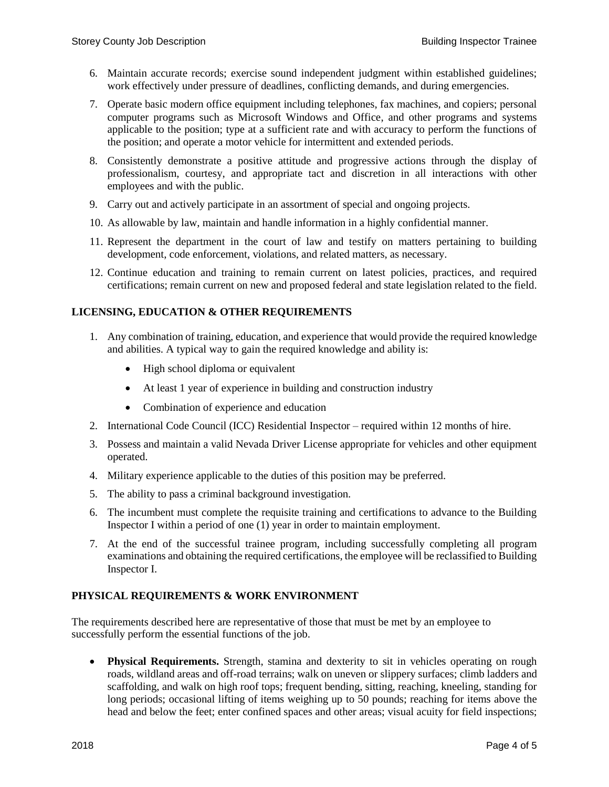- 6. Maintain accurate records; exercise sound independent judgment within established guidelines; work effectively under pressure of deadlines, conflicting demands, and during emergencies.
- 7. Operate basic modern office equipment including telephones, fax machines, and copiers; personal computer programs such as Microsoft Windows and Office, and other programs and systems applicable to the position; type at a sufficient rate and with accuracy to perform the functions of the position; and operate a motor vehicle for intermittent and extended periods.
- 8. Consistently demonstrate a positive attitude and progressive actions through the display of professionalism, courtesy, and appropriate tact and discretion in all interactions with other employees and with the public.
- 9. Carry out and actively participate in an assortment of special and ongoing projects.
- 10. As allowable by law, maintain and handle information in a highly confidential manner.
- 11. Represent the department in the court of law and testify on matters pertaining to building development, code enforcement, violations, and related matters, as necessary.
- 12. Continue education and training to remain current on latest policies, practices, and required certifications; remain current on new and proposed federal and state legislation related to the field.

# **LICENSING, EDUCATION & OTHER REQUIREMENTS**

- 1. Any combination of training, education, and experience that would provide the required knowledge and abilities. A typical way to gain the required knowledge and ability is:
	- High school diploma or equivalent
	- At least 1 year of experience in building and construction industry
	- Combination of experience and education
- 2. International Code Council (ICC) Residential Inspector required within 12 months of hire.
- 3. Possess and maintain a valid Nevada Driver License appropriate for vehicles and other equipment operated.
- 4. Military experience applicable to the duties of this position may be preferred.
- 5. The ability to pass a criminal background investigation.
- 6. The incumbent must complete the requisite training and certifications to advance to the Building Inspector I within a period of one (1) year in order to maintain employment.
- 7. At the end of the successful trainee program, including successfully completing all program examinations and obtaining the required certifications, the employee will be reclassified to Building Inspector I.

## **PHYSICAL REQUIREMENTS & WORK ENVIRONMENT**

The requirements described here are representative of those that must be met by an employee to successfully perform the essential functions of the job.

 **Physical Requirements.** Strength, stamina and dexterity to sit in vehicles operating on rough roads, wildland areas and off-road terrains; walk on uneven or slippery surfaces; climb ladders and scaffolding, and walk on high roof tops; frequent bending, sitting, reaching, kneeling, standing for long periods; occasional lifting of items weighing up to 50 pounds; reaching for items above the head and below the feet; enter confined spaces and other areas; visual acuity for field inspections;